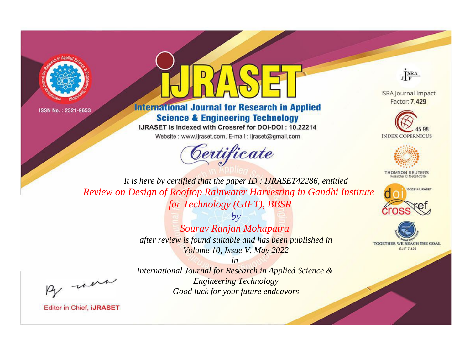



# **International Journal for Research in Applied Science & Engineering Technology**

IJRASET is indexed with Crossref for DOI-DOI: 10.22214

Website: www.ijraset.com, E-mail: ijraset@gmail.com



JERA

**ISRA Journal Impact** Factor: 7.429





**THOMSON REUTERS** 



TOGETHER WE REACH THE GOAL **SJIF 7.429** 

It is here by certified that the paper ID: IJRASET42286, entitled Review on Design of Rooftop Rainwater Harvesting in Gandhi Institute for Technology (GIFT), BBSR

> $b\nu$ Sourav Ranjan Mohapatra after review is found suitable and has been published in Volume 10, Issue V, May 2022

were

International Journal for Research in Applied Science & **Engineering Technology** Good luck for your future endeavors

 $in$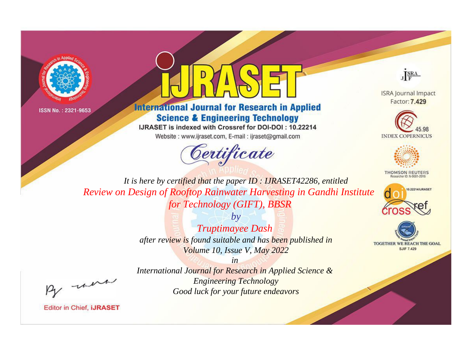



# **International Journal for Research in Applied Science & Engineering Technology**

IJRASET is indexed with Crossref for DOI-DOI: 10.22214

Website: www.ijraset.com, E-mail: ijraset@gmail.com



JERA

**ISRA Journal Impact** Factor: 7.429





**THOMSON REUTERS** 



TOGETHER WE REACH THE GOAL **SJIF 7.429** 

It is here by certified that the paper ID: IJRASET42286, entitled Review on Design of Rooftop Rainwater Harvesting in Gandhi Institute for Technology (GIFT), BBSR

> $b\nu$ **Truptimayee Dash** after review is found suitable and has been published in Volume 10, Issue V, May 2022

> > $in$

were

International Journal for Research in Applied Science & **Engineering Technology** Good luck for your future endeavors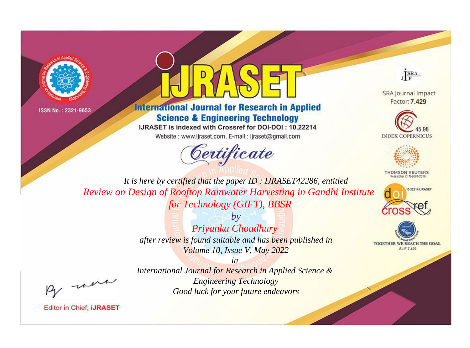



# **International Journal for Research in Applied Science & Engineering Technology**

IJRASET is indexed with Crossref for DOI-DOI: 10.22214

Website: www.ijraset.com, E-mail: ijraset@gmail.com



JERA

**ISRA Journal Impact** Factor: 7.429





**THOMSON REUTERS** 



TOGETHER WE REACH THE GOAL **SJIF 7.429** 

It is here by certified that the paper ID: IJRASET42286, entitled Review on Design of Rooftop Rainwater Harvesting in Gandhi Institute for Technology (GIFT), BBSR

> $b\nu$ Priyanka Choudhury after review is found suitable and has been published in Volume 10, Issue V, May 2022

were

International Journal for Research in Applied Science & **Engineering Technology** Good luck for your future endeavors

 $in$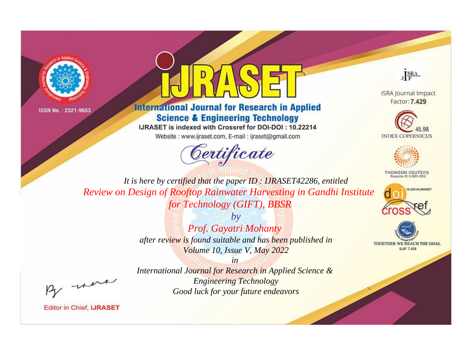



# **International Journal for Research in Applied Science & Engineering Technology**

IJRASET is indexed with Crossref for DOI-DOI: 10.22214

Website: www.ijraset.com, E-mail: ijraset@gmail.com



JERA

**ISRA Journal Impact** Factor: 7.429





**THOMSON REUTERS** 



TOGETHER WE REACH THE GOAL **SJIF 7.429** 

It is here by certified that the paper ID: IJRASET42286, entitled Review on Design of Rooftop Rainwater Harvesting in Gandhi Institute for Technology (GIFT), BBSR

> $b\nu$ Prof. Gayatri Mohanty after review is found suitable and has been published in Volume 10, Issue V, May 2022

were

International Journal for Research in Applied Science & **Engineering Technology** Good luck for your future endeavors

 $in$